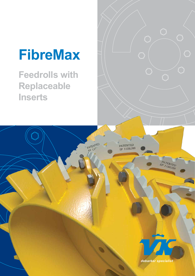# **FibreMax**

**Feedrolls with Replaceable Inserts**

PATENTED

PATENTED<br>EP 1186388

*debarker specialist* 

PATENTED